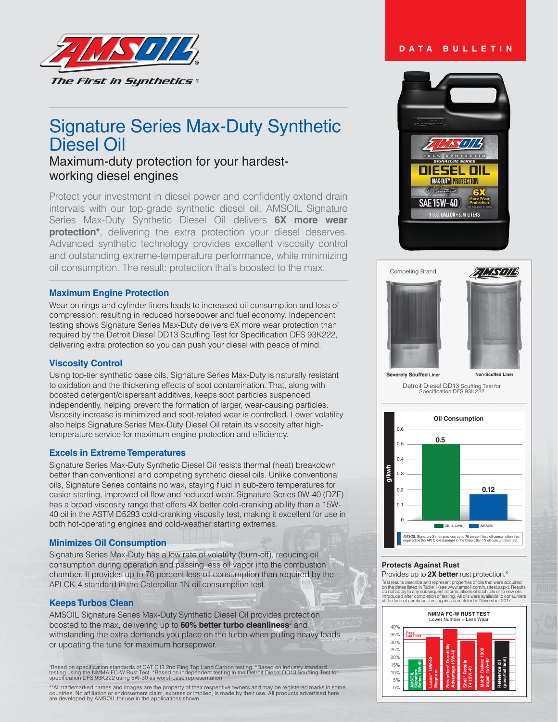

# Signature Series Max-Duty Synthetic Diesel Oil

## Maximum-duty protection for your hardestworking diesel engines

Protect your investment in diesel power and confidently extend drain intervals with our top-grade synthetic diesel oil. AMSOIL Signature Series Max-Duty Synthetic Diesel Oil delivers 6X more wear **protection\***, delivering the extra protection your diesel deserves. Advanced synthetic technology provides excellent viscosity control and outstanding extreme-temperature performance, while minimizing oil consumption. The result: protection that's boosted to the max.

## **Maximum Engine Protection**

Wear on rings and cylinder liners leads to increased oil consumption and loss of compression, resulting in reduced horsepower and fuel economy. Independent testing shows Signature Series Max-Duty delivers 6X more wear protection than required by the Detroit Diesel DD13 Scuffing Test for Specification DFS 93K222, delivering extra protection so you can push your diesel with peace of mind.

## **Viscosity Control**

Using top-tier synthetic base oils, Signature Series Max-Duty is naturally resistant to oxidation and the thickening effects of soot contamination. That, along with boosted detergent/dispersant additives, keeps soot particles suspended independently, helping prevent the formation of larger, wear-causing particles. Viscosity increase is minimized and soot-related wear is controlled. Lower volatility also helps Signature Series Max-Duty Diesel Oil retain its viscosity after hightemperature service for maximum engine protection and efficiency.

### **Excels in Extreme Temperatures**

Signature Series Max-Duty Synthetic Diesel Oil resists thermal (heat) breakdown better than conventional and competing synthetic diesel oils. Unlike conventional oils, Signature Series contains no wax, staying fluid in sub-zero temperatures for easier starting, improved oil flow and reduced wear. Signature Series 0W-40 (DZF) has a broad viscosity range that offers 4X better cold-cranking ability than a 15W-40 oil in the ASTM D5293 cold-cranking viscosity test, making it excellent for use in both hot-operating engines and cold-weather starting extremes.

### **Minimizes Oil Consumption**

Signature Series Max-Duty has a low rate of volatility (burn-off), reducing oil consumption during operation and passing less oil vapor into the combustion chamber. It provides up to 76 percent less oil consumption than required by the API CK-4 standard in the Caterpillar-1N oil consumption test.

### **Keeps Turbos Clean**

AMSOIL Signature Series Max-Duty Synthetic Diesel Oil provides protection boosted to the max, delivering up to **60% better turbo cleanliness**<sup>3</sup> and withstanding the extra demands you place on the turbo when pulling heavy loads or updating the tune for maximum horsepower.

'Based on specification standards of CAT C13 2nd Ring Top Land Carbon testing. ''Based on industry standard<br>testing using the NMMA FC-W Rust Test. 'Based on independent testing in the Detroit Diesel DD13 Scuffing Test for

\*\*All trademarked names and images are the property of their respective owners and may be registered marks in some<br>countries. No affiliation or endorsement claim, express or implied, is made by their use. All products adve

## **DATA BULLETIN**



#### Competing Brand





**Severely Scuffed Liner Non-Scuffed Liner**

Detroit Diesel DD13 Scuffing Test for<br>Specification DFS 93K222



## **Protects Against Rust**

Provides up to **2X better** rust protection.<sup>K</sup>

Test results describe and represent properties of oils that were acquired<br>on the dates listed in Table 1 (see www.amsoli.com/ustrest.aspx). Results<br>do not apply to any subsequent reformulations of such oils or to new oils<br>